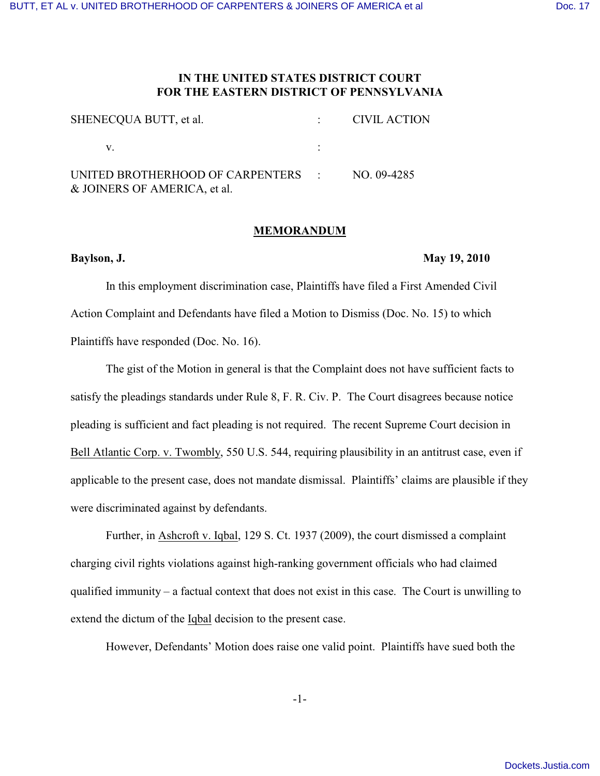## **IN THE UNITED STATES DISTRICT COURT FOR THE EASTERN DISTRICT OF PENNSYLVANIA**

| SHENECQUA BUTT, et al.                                                         | CIVIL ACTION |
|--------------------------------------------------------------------------------|--------------|
| V.                                                                             |              |
| UNITED BROTHERHOOD OF CARPENTERS : NO. 09-4285<br>& JOINERS OF AMERICA, et al. |              |

## **MEMORANDUM**

## **Baylson, J. May 19, 2010**

In this employment discrimination case, Plaintiffs have filed a First Amended Civil Action Complaint and Defendants have filed a Motion to Dismiss (Doc. No. 15) to which Plaintiffs have responded (Doc. No. 16).

The gist of the Motion in general is that the Complaint does not have sufficient facts to satisfy the pleadings standards under Rule 8, F. R. Civ. P. The Court disagrees because notice pleading is sufficient and fact pleading is not required. The recent Supreme Court decision in Bell Atlantic Corp. v. Twombly, 550 U.S. 544, requiring plausibility in an antitrust case, even if applicable to the present case, does not mandate dismissal. Plaintiffs' claims are plausible if they were discriminated against by defendants.

Further, in Ashcroft v. Iqbal, 129 S. Ct. 1937 (2009), the court dismissed a complaint charging civil rights violations against high-ranking government officials who had claimed qualified immunity – a factual context that does not exist in this case. The Court is unwilling to extend the dictum of the Iqbal decision to the present case.

However, Defendants' Motion does raise one valid point. Plaintiffs have sued both the

-1-